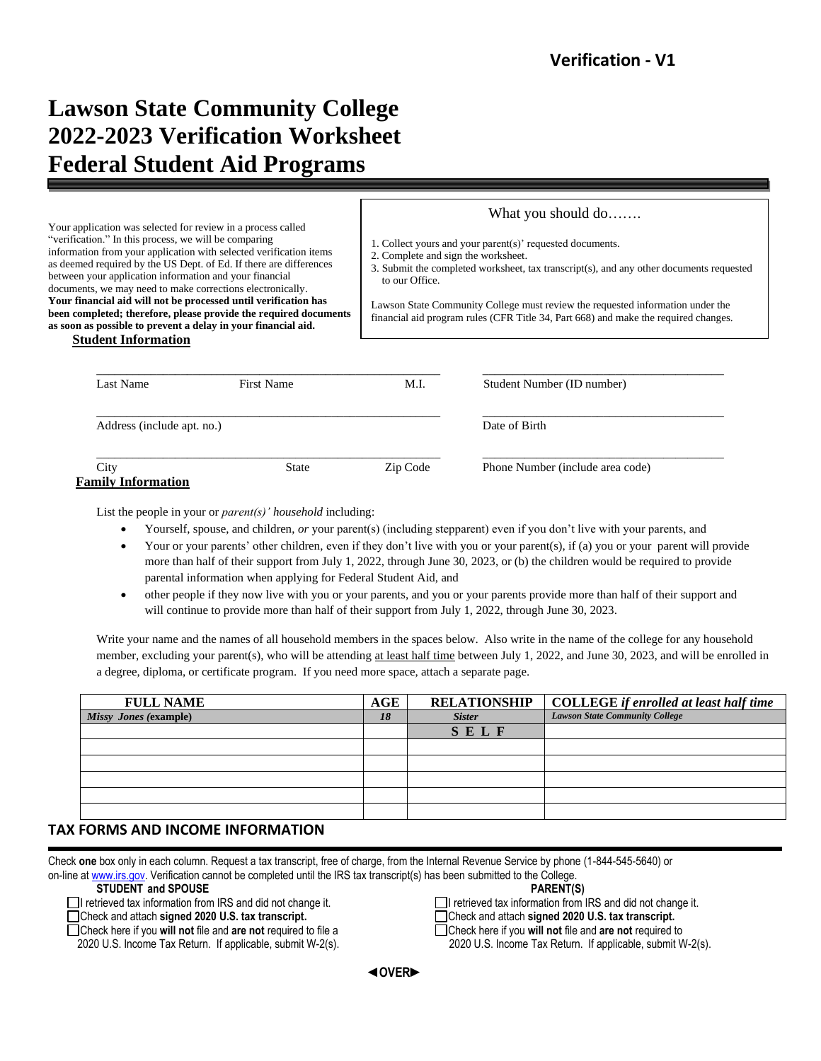# **Lawson State Community College 2022-2023 Verification Worksheet Federal Student Aid Programs**

Your application was selected for review in a process called "verification." In this process, we will be comparing information from your application with selected verification items as deemed required by the US Dept. of Ed. If there are differences between your application information and your financial documents, we may need to make corrections electronically. **Your financial aid will not be processed until verification has been completed; therefore, please provide the required documents as soon as possible to prevent a delay in your financial aid.**

What you should do…….

1. Collect yours and your parent(s)' requested documents.

2. Complete and sign the worksheet.

3. Submit the completed worksheet, tax transcript(s), and any other documents requested to our Office.

Lawson State Community College must review the requested information under the financial aid program rules (CFR Title 34, Part 668) and make the required changes.

| <b>Student Information</b> |
|----------------------------|
|                            |

| Last Name                  | First Name   | M.I.     | Student Number (ID number)       |
|----------------------------|--------------|----------|----------------------------------|
| Address (include apt. no.) |              |          | Date of Birth                    |
| City                       | <b>State</b> | Zip Code | Phone Number (include area code) |

List the people in your or *parent(s)' household* including:

- Yourself, spouse, and children, *or* your parent(s) (including stepparent) even if you don't live with your parents, and
- Your or your parents' other children, even if they don't live with you or your parent(s), if (a) you or your parent will provide more than half of their support from July 1, 2022, through June 30, 2023, or (b) the children would be required to provide parental information when applying for Federal Student Aid, and
- other people if they now live with you or your parents, and you or your parents provide more than half of their support and will continue to provide more than half of their support from July 1, 2022, through June 30, 2023.

Write your name and the names of all household members in the spaces below. Also write in the name of the college for any household member, excluding your parent(s), who will be attending at least half time between July 1, 2022, and June 30, 2023, and will be enrolled in a degree, diploma, or certificate program. If you need more space, attach a separate page.

| <b>FULL NAME</b>      | AGE | <b>RELATIONSHIP</b> | <b>COLLEGE</b> if enrolled at least half time |
|-----------------------|-----|---------------------|-----------------------------------------------|
| Missy Jones (example) | 18  | <b>Sister</b>       | <b>Lawson State Community College</b>         |
|                       |     | SELF                |                                               |
|                       |     |                     |                                               |
|                       |     |                     |                                               |
|                       |     |                     |                                               |
|                       |     |                     |                                               |
|                       |     |                     |                                               |

### **TAX FORMS AND INCOME INFORMATION**

 Check **one** box only in each column. Request a tax transcript, free of charge, from the Internal Revenue Service by phone (1-844-545-5640) or on-line a[t www.irs.gov.](http://www.irs.gov/) Verification cannot be completed until the IRS tax transcript(s) has been submitted to the College.

#### **STUDENT and SPOUSE PARENT(S)**

I retrieved tax information from IRS and did not change it. I retrieved tax information from IRS and did not change it.

Check and attach **signed 2020 U.S. tax transcript.** Check and attach **signed 2020 U.S. tax transcript.**

Check here if you **will not** file and **are not** required to file a Check here if you **will not** file and **are not** required to

2020 U.S. Income Tax Return. If applicable, submit W-2(s). 2020 U.S. Income Tax Return. If applicable, submit W-2(s).



 **◄OVER►**